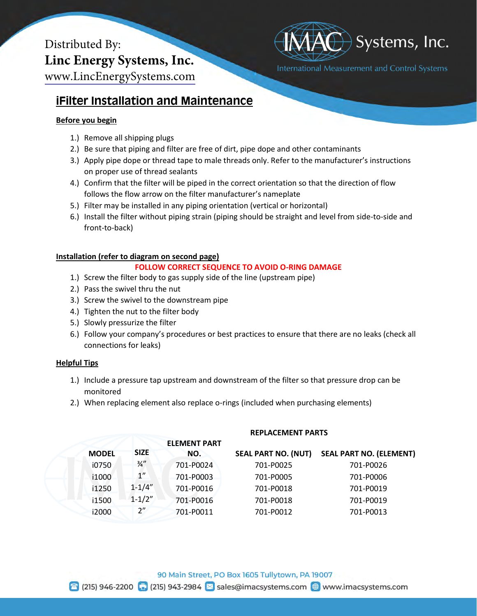# Distributed By: **Linc Energy Systems, Inc.** [www.LincEnergySystems.com](https://www.lincenergysystems.com/)



## **iFilter Installation and Maintenance**

### **Before you begin**

- 1.) Remove all shipping plugs
- 2.) Be sure that piping and filter are free of dirt, pipe dope and other contaminants
- 3.) Apply pipe dope or thread tape to male threads only. Refer to the manufacturer's instructions on proper use of thread sealants
- 4.) Confirm that the filter will be piped in the correct orientation so that the direction of flow follows the flow arrow on the filter manufacturer's nameplate
- 5.) Filter may be installed in any piping orientation (vertical or horizontal)
- 6.) Install the filter without piping strain (piping should be straight and level from side-to-side and front-to-back)

#### **Installation (refer to diagram on second page)**

#### **FOLLOW CORRECT SEQUENCE TO AVOID O-RING DAMAGE**

- 1.) Screw the filter body to gas supply side of the line (upstream pipe)
- 2.) Pass the swivel thru the nut
- 3.) Screw the swivel to the downstream pipe
- 4.) Tighten the nut to the filter body
- 5.) Slowly pressurize the filter
- 6.) Follow your company's procedures or best practices to ensure that there are no leaks (check all connections for leaks)

#### **Helpful Tips**

- 1.) Include a pressure tap upstream and downstream of the filter so that pressure drop can be monitored
- 2.) When replacing element also replace o-rings (included when purchasing elements)

|  |              |                    | <b>ELEMENT PART</b> |                            |                                |  |
|--|--------------|--------------------|---------------------|----------------------------|--------------------------------|--|
|  | <b>MODEL</b> | <b>SIZE</b>        | NO.                 | <b>SEAL PART NO. (NUT)</b> | <b>SEAL PART NO. (ELEMENT)</b> |  |
|  | i0750        | $\frac{3}{4}$      | 701-P0024           | 701-P0025                  | 701-P0026                      |  |
|  | i1000        | $1^{\prime\prime}$ | 701-P0003           | 701-P0005                  | 701-P0006                      |  |
|  | i1250        | $1 - 1/4"$         | 701-P0016           | 701-P0018                  | 701-P0019                      |  |
|  | i1500        | $1 - 1/2"$         | 701-P0016           | 701-P0018                  | 701-P0019                      |  |
|  | i2000        | 2"                 | 701-P0011           | 701-P0012                  | 701-P0013                      |  |
|  |              |                    |                     |                            |                                |  |

**REPLACEMENT PARTS**

☎ (215) 946-2200 日 (215) 943-2984 × sales@imacsystems.com ● www.imacsystems.com